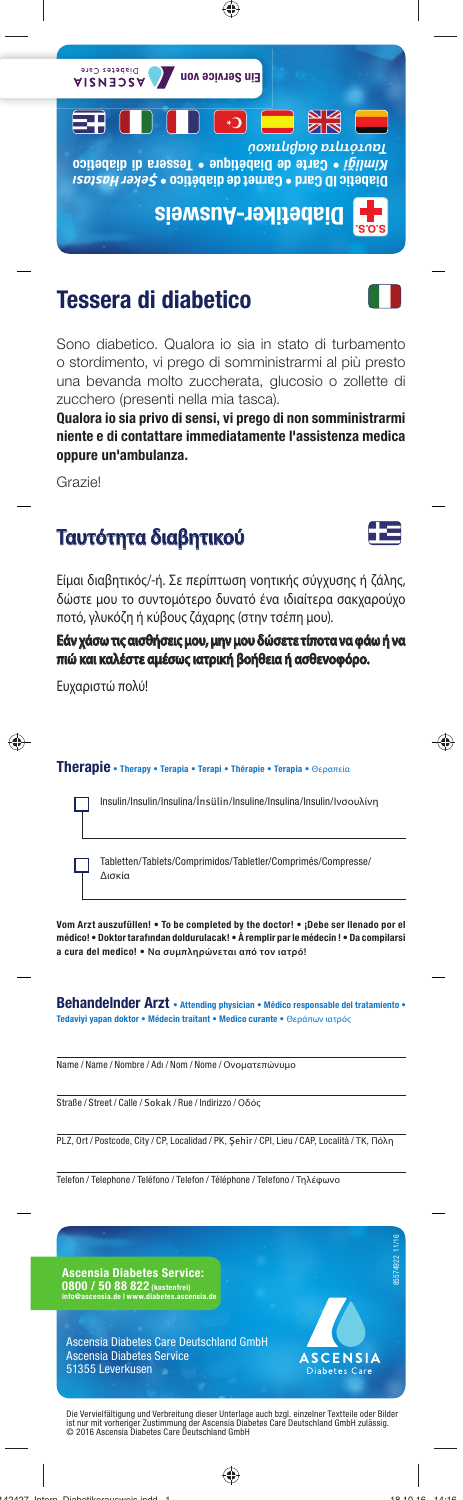

#### **Tessera di diabetico**

Sono diabetico. Qualora io sia in stato di turbamento o stordimento, vi prego di somministrarmi al più presto una bevanda molto zuccherata, glucosio o zollette di zucchero (presenti nella mia tasca).

**Qualora io sia privo di sensi, vi prego di non somministrarmi niente e di contattare immediatamente l'assistenza medica oppure un'ambulanza.**

Grazie!

# **Ταυτότητα διαβητικού αυτότητα**



Είμαι διαβητικός/-ή. Σε περίπτωση νοητικής σύγχυσης ή ζάλης, δώστε μου το συντομότερο δυνατό ένα ιδιαίτερα σακχαρούχο ποτό, γλυκόζη ή κύβους ζάχαρης (στην τσέπη μου).

Εάν χάσω τις αισθήσεις μου, μην μου δώσετε τίποτα να φάω ή να **πιώ και καλέστε αμέσως ιατρική βοήθεια ή ασθενοφόρο. ιώ καλέστε αμέσως ιατρική ασθενοφόρο.**

Ευχαριστώ πολύ!

#### **Therapie • Therapy • Terapia • Terapi • Thérapie • Terapia •** Θεραπεία

Insulin/Insulin/Insulina/İnsülin/Insuline/Insulina/Insulin/Ινσουλίνη

Tabletten/Tablets/Comprimidos/Tabletler/Comprimés/Compresse/ Δισκία

**Vom Arzt auszufüllen! • To be completed by the doctor! • ¡Debe ser llenado por el médico! • Doktor tarafından doldurulacak! • À remplir par le médecin ! • Da compilarsi a cura del medico! • Να συμπληρώνεται από τον ιατρό!**

Behandelnder Arzt · Attending physician · Médico responsable del tratamiento · **Tedaviyi yapan doktor • Médecin traitant • Medico curante •** Θεράπων ιατρός

Name / Name / Nombre / Adı / Nom / Nome / Ονοματεπώνυμο

Straße / Street / Calle / Sokak / Rue / Indirizzo / Οδός

PLZ, Ort / Postcode, City / CP, Localidad / PK, Şehir / CPl, Lieu / CAP, Località / ΤΚ, Πόλη

Telefon / Telephone / Teléfono / Telefon / Téléphone / Telefono / Τηλέφωνο





Ascensia Diabetes Care Deutschland GmbH Ascensia Diabetes Service 51355 Leverkusen

Die Vervielfältigung und Verbreitung dieser Unterlage auch bzgl. einzelner Textteile oder Bilder<br>ist nur mit vorheriger Zustimmung der Ascensia Diabetes Care Deutschland GmbH zulässig.<br>© 2016 Ascensia Diabetes Care Deutsc